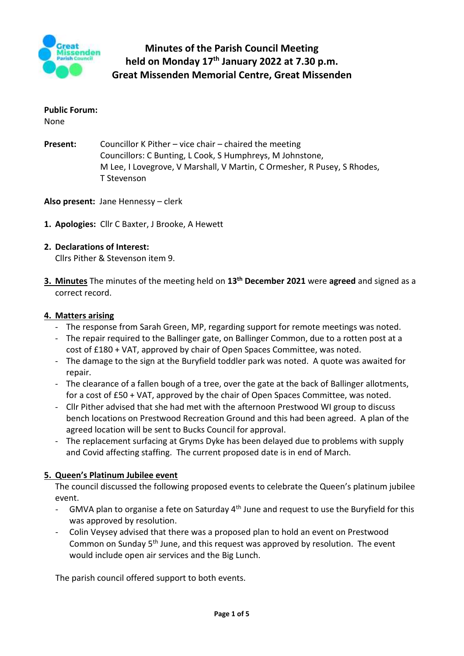

# **Public Forum:**

None

- **Present:** Councillor K Pither vice chair chaired the meeting Councillors: C Bunting, L Cook, S Humphreys, M Johnstone, M Lee, I Lovegrove, V Marshall, V Martin, C Ormesher, R Pusey, S Rhodes, T Stevenson
- **Also present:** Jane Hennessy clerk
- **1. Apologies:** Cllr C Baxter, J Brooke, A Hewett

# **2. Declarations of Interest:**

Cllrs Pither & Stevenson item 9.

**3. Minutes** The minutes of the meeting held on **13th December 2021** were **agreed** and signed as a correct record.

#### **4. Matters arising**

- The response from Sarah Green, MP, regarding support for remote meetings was noted.
- The repair required to the Ballinger gate, on Ballinger Common, due to a rotten post at a cost of £180 + VAT, approved by chair of Open Spaces Committee, was noted.
- The damage to the sign at the Buryfield toddler park was noted. A quote was awaited for repair.
- The clearance of a fallen bough of a tree, over the gate at the back of Ballinger allotments, for a cost of £50 + VAT, approved by the chair of Open Spaces Committee, was noted.
- Cllr Pither advised that she had met with the afternoon Prestwood WI group to discuss bench locations on Prestwood Recreation Ground and this had been agreed. A plan of the agreed location will be sent to Bucks Council for approval.
- The replacement surfacing at Gryms Dyke has been delayed due to problems with supply and Covid affecting staffing. The current proposed date is in end of March.

## **5. Queen's Platinum Jubilee event**

The council discussed the following proposed events to celebrate the Queen's platinum jubilee event.

- GMVA plan to organise a fete on Saturday 4<sup>th</sup> June and request to use the Buryfield for this was approved by resolution.
- Colin Veysey advised that there was a proposed plan to hold an event on Prestwood Common on Sunday 5th June, and this request was approved by resolution. The event would include open air services and the Big Lunch.

The parish council offered support to both events.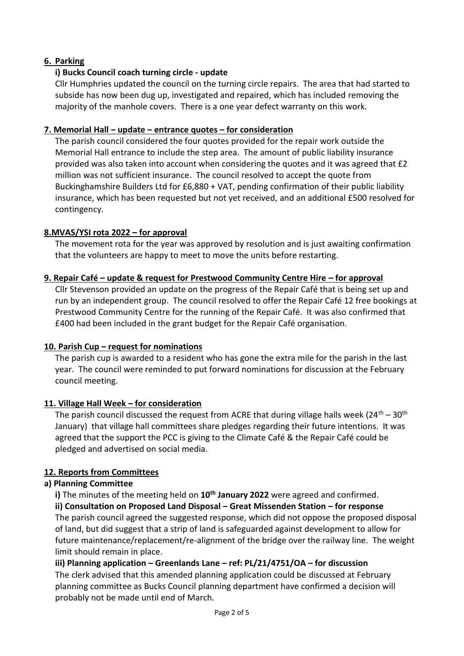# **6. Parking**

# **i) Bucks Council coach turning circle - update**

Cllr Humphries updated the council on the turning circle repairs. The area that had started to subside has now been dug up, investigated and repaired, which has included removing the majority of the manhole covers. There is a one year defect warranty on this work.

## **7. Memorial Hall – update – entrance quotes – for consideration**

The parish council considered the four quotes provided for the repair work outside the Memorial Hall entrance to include the step area. The amount of public liability insurance provided was also taken into account when considering the quotes and it was agreed that £2 million was not sufficient insurance. The council resolved to accept the quote from Buckinghamshire Builders Ltd for £6,880 + VAT, pending confirmation of their public liability insurance, which has been requested but not yet received, and an additional £500 resolved for contingency.

## **8.MVAS/YSI rota 2022 – for approval**

The movement rota for the year was approved by resolution and is just awaiting confirmation that the volunteers are happy to meet to move the units before restarting.

## **9. Repair Café – update & request for Prestwood Community Centre Hire – for approval**

Cllr Stevenson provided an update on the progress of the Repair Café that is being set up and run by an independent group. The council resolved to offer the Repair Café 12 free bookings at Prestwood Community Centre for the running of the Repair Café. It was also confirmed that £400 had been included in the grant budget for the Repair Café organisation.

## **10. Parish Cup – request for nominations**

The parish cup is awarded to a resident who has gone the extra mile for the parish in the last year. The council were reminded to put forward nominations for discussion at the February council meeting.

## **11. Village Hall Week – for consideration**

The parish council discussed the request from ACRE that during village halls week  $(24^{th} - 30^{th})$ January) that village hall committees share pledges regarding their future intentions. It was agreed that the support the PCC is giving to the Climate Café & the Repair Café could be pledged and advertised on social media.

## **12. Reports from Committees**

## **a) Planning Committee**

**i)** The minutes of the meeting held on **10th January 2022** were agreed and confirmed.

**ii) Consultation on Proposed Land Disposal – Great Missenden Station – for response** The parish council agreed the suggested response, which did not oppose the proposed disposal of land, but did suggest that a strip of land is safeguarded against development to allow for future maintenance/replacement/re-alignment of the bridge over the railway line. The weight limit should remain in place.

## **iii) Planning application – Greenlands Lane – ref: PL/21/4751/OA – for discussion**

The clerk advised that this amended planning application could be discussed at February planning committee as Bucks Council planning department have confirmed a decision will probably not be made until end of March.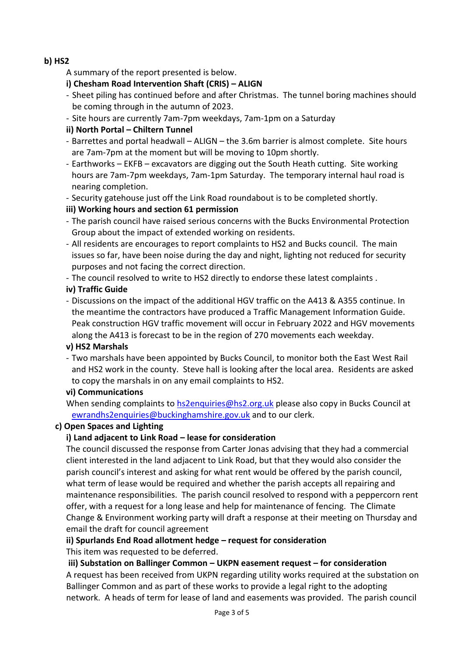## **b) HS2**

- A summary of the report presented is below.
- **i) Chesham Road Intervention Shaft (CRIS) – ALIGN**
- Sheet piling has continued before and after Christmas. The tunnel boring machines should be coming through in the autumn of 2023.
- Site hours are currently 7am-7pm weekdays, 7am-1pm on a Saturday

# **ii) North Portal – Chiltern Tunnel**

- Barrettes and portal headwall ALIGN the 3.6m barrier is almost complete. Site hours are 7am-7pm at the moment but will be moving to 10pm shortly.
- Earthworks EKFB excavators are digging out the South Heath cutting. Site working hours are 7am-7pm weekdays, 7am-1pm Saturday. The temporary internal haul road is nearing completion.
- Security gatehouse just off the Link Road roundabout is to be completed shortly.

# **iii) Working hours and section 61 permission**

- The parish council have raised serious concerns with the Bucks Environmental Protection Group about the impact of extended working on residents.
- All residents are encourages to report complaints to HS2 and Bucks council. The main issues so far, have been noise during the day and night, lighting not reduced for security purposes and not facing the correct direction.
- The council resolved to write to HS2 directly to endorse these latest complaints .

# **iv) Traffic Guide**

- Discussions on the impact of the additional HGV traffic on the A413 & A355 continue. In the meantime the contractors have produced a Traffic Management Information Guide. Peak construction HGV traffic movement will occur in February 2022 and HGV movements along the A413 is forecast to be in the region of 270 movements each weekday.

## **v) HS2 Marshals**

- Two marshals have been appointed by Bucks Council, to monitor both the East West Rail and HS2 work in the county. Steve hall is looking after the local area. Residents are asked to copy the marshals in on any email complaints to HS2.

## **vi) Communications**

When sending complaints to [hs2enquiries@hs2.org.uk](mailto:hs2enquiries@hs2.org.uk) please also copy in Bucks Council at [ewrandhs2enquiries@buckinghamshire.gov.uk](mailto:ewrandhs2enquiries@buckinghamshire.gov.uk) and to our clerk.

## **c) Open Spaces and Lighting**

# **i) Land adjacent to Link Road – lease for consideration**

The council discussed the response from Carter Jonas advising that they had a commercial client interested in the land adjacent to Link Road, but that they would also consider the parish council's interest and asking for what rent would be offered by the parish council, what term of lease would be required and whether the parish accepts all repairing and maintenance responsibilities. The parish council resolved to respond with a peppercorn rent offer, with a request for a long lease and help for maintenance of fencing. The Climate Change & Environment working party will draft a response at their meeting on Thursday and email the draft for council agreement

## **ii) Spurlands End Road allotment hedge – request for consideration**

This item was requested to be deferred.

## **iii) Substation on Ballinger Common – UKPN easement request – for consideration**

A request has been received from UKPN regarding utility works required at the substation on Ballinger Common and as part of these works to provide a legal right to the adopting network. A heads of term for lease of land and easements was provided. The parish council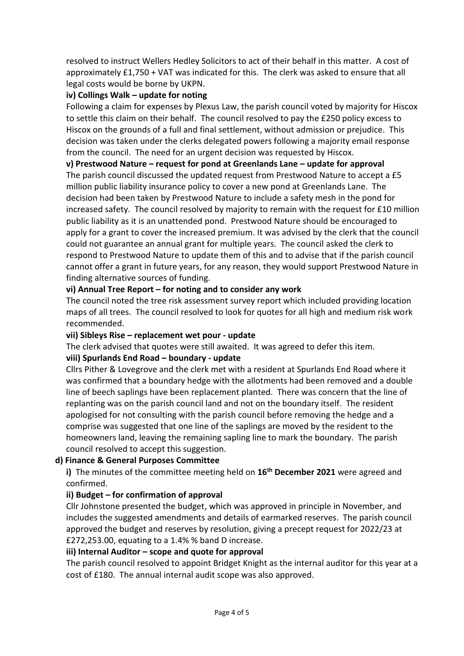resolved to instruct Wellers Hedley Solicitors to act of their behalf in this matter. A cost of approximately £1,750 + VAT was indicated for this. The clerk was asked to ensure that all legal costs would be borne by UKPN.

# **iv) Collings Walk – update for noting**

Following a claim for expenses by Plexus Law, the parish council voted by majority for Hiscox to settle this claim on their behalf. The council resolved to pay the £250 policy excess to Hiscox on the grounds of a full and final settlement, without admission or prejudice. This decision was taken under the clerks delegated powers following a majority email response from the council. The need for an urgent decision was requested by Hiscox.

#### **v) Prestwood Nature – request for pond at Greenlands Lane – update for approval**

The parish council discussed the updated request from Prestwood Nature to accept a £5 million public liability insurance policy to cover a new pond at Greenlands Lane. The decision had been taken by Prestwood Nature to include a safety mesh in the pond for increased safety. The council resolved by majority to remain with the request for £10 million public liability as it is an unattended pond. Prestwood Nature should be encouraged to apply for a grant to cover the increased premium. It was advised by the clerk that the council could not guarantee an annual grant for multiple years. The council asked the clerk to respond to Prestwood Nature to update them of this and to advise that if the parish council cannot offer a grant in future years, for any reason, they would support Prestwood Nature in finding alternative sources of funding.

## **vi) Annual Tree Report – for noting and to consider any work**

The council noted the tree risk assessment survey report which included providing location maps of all trees. The council resolved to look for quotes for all high and medium risk work recommended.

## **vii) Sibleys Rise – replacement wet pour - update**

The clerk advised that quotes were still awaited. It was agreed to defer this item.

#### **viii) Spurlands End Road – boundary - update**

Cllrs Pither & Lovegrove and the clerk met with a resident at Spurlands End Road where it was confirmed that a boundary hedge with the allotments had been removed and a double line of beech saplings have been replacement planted. There was concern that the line of replanting was on the parish council land and not on the boundary itself. The resident apologised for not consulting with the parish council before removing the hedge and a comprise was suggested that one line of the saplings are moved by the resident to the homeowners land, leaving the remaining sapling line to mark the boundary. The parish council resolved to accept this suggestion.

## **d) Finance & General Purposes Committee**

**i)** The minutes of the committee meeting held on **16th December 2021** were agreed and confirmed.

## **ii) Budget – for confirmation of approval**

Cllr Johnstone presented the budget, which was approved in principle in November, and includes the suggested amendments and details of earmarked reserves. The parish council approved the budget and reserves by resolution, giving a precept request for 2022/23 at £272,253.00, equating to a 1.4% % band D increase.

## **iii) Internal Auditor – scope and quote for approval**

The parish council resolved to appoint Bridget Knight as the internal auditor for this year at a cost of £180. The annual internal audit scope was also approved.